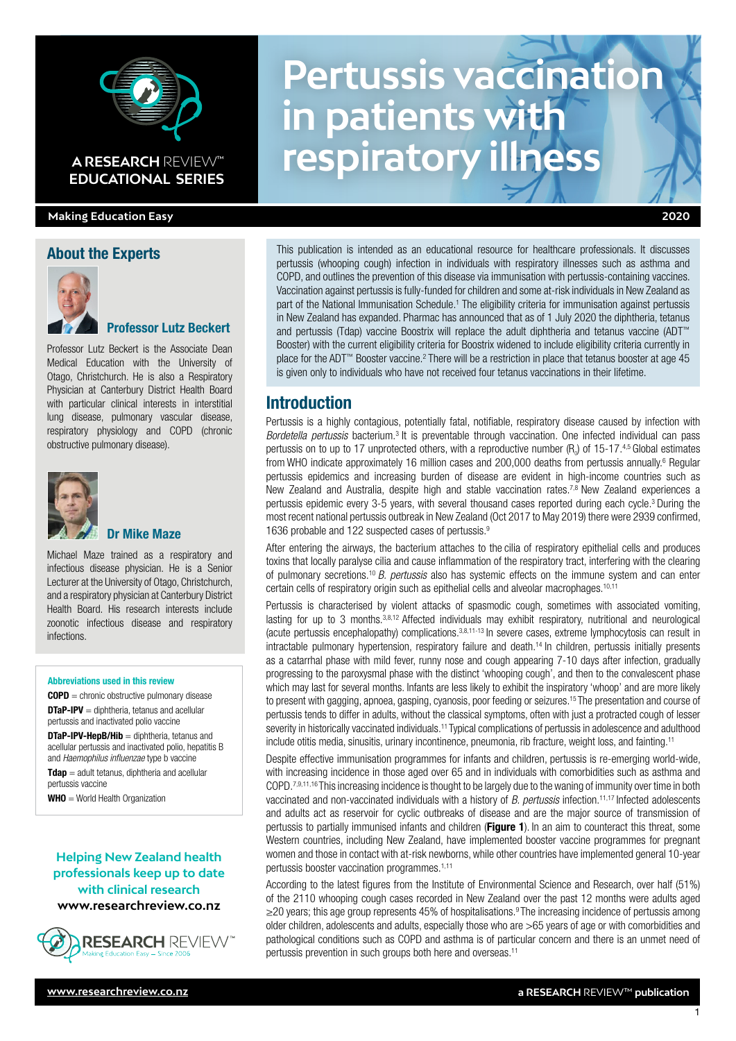

# **A RESEARCH** REVIEW™

#### **Making Education Easy 2020**

#### About the Experts



### Professor Lutz Beckert

Professor Lutz Beckert is the Associate Dean Medical Education with the University of Otago, Christchurch. He is also a Respiratory Physician at Canterbury District Health Board with particular clinical interests in interstitial lung disease, pulmonary vascular disease, respiratory physiology and COPD (chronic obstructive pulmonary disease).



#### Dr Mike Maze

Michael Maze trained as a respiratory and infectious disease physician. He is a Senior Lecturer at the University of Otago, Christchurch, and a respiratory physician at Canterbury District Health Board. His research interests include zoonotic infectious disease and respiratory infections.

#### Abbreviations used in this review

COPD = chronic obstructive pulmonary disease **DTaP-IPV** = diphtheria, tetanus and acellular pertussis and inactivated polio vaccine

**DTaP-IPV-HepB/Hib** = diphtheria, tetanus and acellular pertussis and inactivated polio, hepatitis B and *Haemophilus influenzae* type b vaccine

 $T$ dap = adult tetanus, diphtheria and acellular pertussis vaccine

WHO = World Health Organization

#### **Helping New Zealand health professionals keep up to date with clinical research www.researchreview.co.nz**



**Pertussis vaccination in patients with ARESEARCH REVIEW<sup>®</sup> respiratory illness** 

This publication is intended as an educational resource for healthcare professionals. It discusses pertussis (whooping cough) infection in individuals with respiratory illnesses such as asthma and COPD, and outlines the prevention of this disease via immunisation with pertussis-containing vaccines. Vaccination against pertussis is fully-funded for children and some at-risk individuals in New Zealand as part of the National Immunisation Schedule.<sup>1</sup> The eligibility criteria for immunisation against pertussis in New Zealand has expanded. Pharmac has announced that as of 1 July 2020 the diphtheria, tetanus and pertussis (Tdap) vaccine Boostrix will replace the adult diphtheria and tetanus vaccine (ADT™ Booster) with the current eligibility criteria for Boostrix widened to include eligibility criteria currently in place for the ADT™ Booster vaccine.<sup>2</sup> There will be a restriction in place that tetanus booster at age 45 is given only to individuals who have not received four tetanus vaccinations in their lifetime.

# **Introduction**

Pertussis is a highly contagious, potentially fatal, notifiable, respiratory disease caused by infection with *Bordetella pertussis* bacterium.3 It is preventable through vaccination. One infected individual can pass pertussis on to up to 17 unprotected others, with a reproductive number  $(R_0)$  of 15-17.<sup>4,5</sup> Global estimates from WHO indicate approximately 16 million cases and 200,000 deaths from pertussis annually.<sup>6</sup> Regular pertussis epidemics and increasing burden of disease are evident in high-income countries such as New Zealand and Australia, despite high and stable vaccination rates.<sup>7,8</sup> New Zealand experiences a pertussis epidemic every 3-5 years, with several thousand cases reported during each cycle.3 During the most recent national pertussis outbreak in New Zealand (Oct 2017 to May 2019) there were 2939 confirmed, 1636 probable and 122 suspected cases of pertussis.9

After entering the airways, the bacterium attaches to the cilia of respiratory epithelial cells and produces toxins that locally paralyse cilia and cause inflammation of the respiratory tract, interfering with the clearing of pulmonary secretions.10 *B. pertussis* also has systemic effects on the immune system and can enter certain cells of respiratory origin such as epithelial cells and alveolar macrophages.10,11

Pertussis is characterised by violent attacks of spasmodic cough, sometimes with associated vomiting, lasting for up to 3 months.<sup>3,8,12</sup> Affected individuals may exhibit respiratory, nutritional and neurological (acute pertussis encephalopathy) complications.3,8,11-13 In severe cases, extreme lymphocytosis can result in intractable pulmonary hypertension, respiratory failure and death.14 In children, pertussis initially presents as a catarrhal phase with mild fever, runny nose and cough appearing 7-10 days after infection, gradually progressing to the paroxysmal phase with the distinct 'whooping cough', and then to the convalescent phase which may last for several months. Infants are less likely to exhibit the inspiratory 'whoop' and are more likely to present with gagging, apnoea, gasping, cyanosis, poor feeding or seizures.15 The presentation and course of pertussis tends to differ in adults, without the classical symptoms, often with just a protracted cough of lesser severity in historically vaccinated individuals.<sup>11</sup> Typical complications of pertussis in adolescence and adulthood include otitis media, sinusitis, urinary incontinence, pneumonia, rib fracture, weight loss, and fainting.11

Despite effective immunisation programmes for infants and children, pertussis is re-emerging world-wide, with increasing incidence in those aged over 65 and in individuals with comorbidities such as asthma and COPD.<sup>7,9,11,16</sup> This increasing incidence is thought to be largely due to the waning of immunity over time in both vaccinated and non-vaccinated individuals with a history of *B. pertussis* infection.11,17 Infected adolescents and adults act as reservoir for cyclic outbreaks of disease and are the major source of transmission of pertussis to partially immunised infants and children (Figure 1). In an aim to counteract this threat, some Western countries, including New Zealand, have implemented booster vaccine programmes for pregnant women and those in contact with at-risk newborns, while other countries have implemented general 10-year pertussis booster vaccination programmes.1,11

According to the latest figures from the Institute of Environmental Science and Research, over half (51%) of the 2110 whooping cough cases recorded in New Zealand over the past 12 months were adults aged ≥20 years; this age group represents 45% of hospitalisations.9 The increasing incidence of pertussis among older children, adolescents and adults, especially those who are >65 years of age or with comorbidities and pathological conditions such as COPD and asthma is of particular concern and there is an unmet need of pertussis prevention in such groups both here and overseas.<sup>11</sup>

1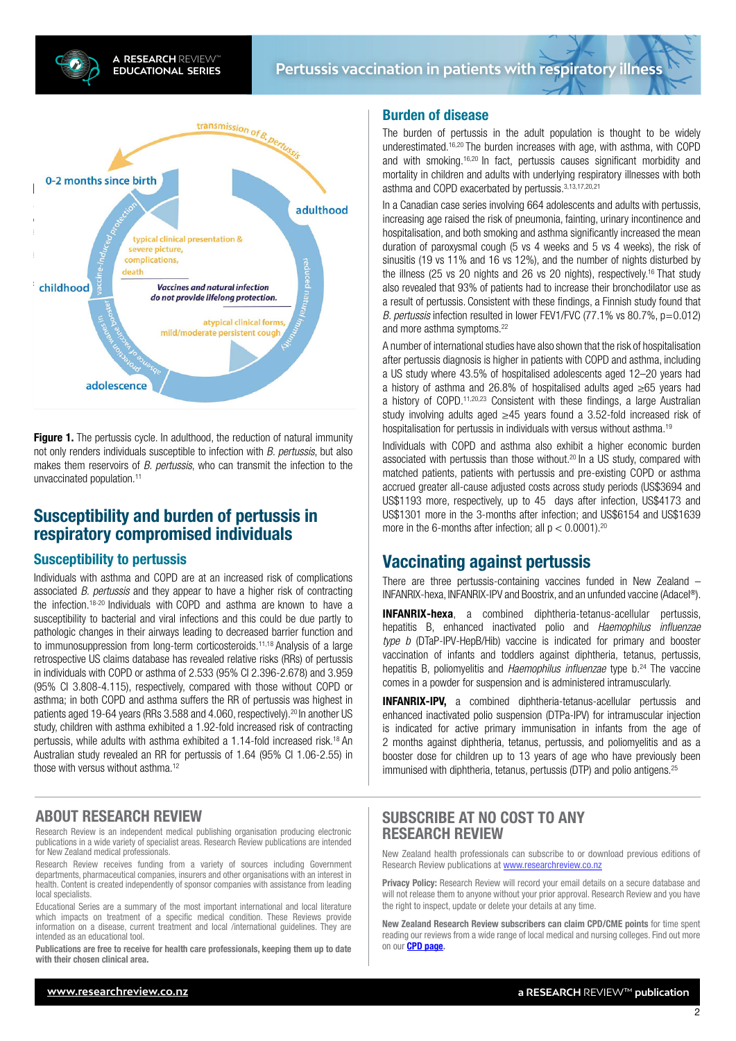CrossRef citations to date

0



**Figure 1.** The pertussis cycle. In adulthood, the reduction of natural immunity not only renders individuals susceptible to infection with *B. pertussis*, but also makes them reservoirs of *B. pertussis*, who can transmit the infection to the unvaccinated population.<sup>11</sup>

# Susceptibility and burden of pertussis in respiratory compromised individuals

#### Susceptibility to pertussis

Individuals with asthma and COPD are at an increased risk of complications associated *B. pertussis* and they appear to have a higher risk of contracting the infection.18-20 Individuals with COPD and asthma are known to have a susceptibility to bacterial and viral infections and this could be due partly to pathologic changes in their airways leading to decreased barrier function and to immunosuppression from long-term corticosteroids.11,18 Analysis of a large retrospective US claims database has revealed relative risks (RRs) of pertussis in individuals with COPD or asthma of 2.533 (95% CI 2.396-2.678) and 3.959 (95% CI 3.808-4.115), respectively, compared with those without COPD or asthma; in both COPD and asthma suffers the RR of pertussis was highest in patients aged 19-64 years (RRs 3.588 and 4.060, respectively).<sup>20</sup> In another US study, children with asthma exhibited a 1.92-fold increased risk of contracting pertussis, while adults with asthma exhibited a 1.14-fold increased risk.18 An Australian study revealed an RR for pertussis of 1.64 (95% CI 1.06-2.55) in those with versus without asthma<sup>12</sup>

# ABOUT RESEARCH REVIEW

Research Review is an independent medical publishing organisation producing electronic publications in a wide variety of specialist areas. Research Review publications are intended for New Zealand medical professionals.

Research Review receives funding from a variety of sources including Government departments, pharmaceutical companies, insurers and other organisations with an interest in health. Content is created independently of sponsor companies with assistance from leading local specialists.

Educational Series are a summary of the most important international and local literature which impacts on treatment of a specific medical condition. These Reviews provide information on a disease, current treatment and local /international guidelines. They are intended as an educational tool.

Publications are free to receive for health care professionals, keeping them up to date with their chosen clinical area.

#### Burden of disease

The burden of pertussis in the adult population is thought to be widely underestimated.16,20 The burden increases with age, with asthma, with COPD and with smoking.16,20 In fact, pertussis causes significant morbidity and mortality in children and adults with underlying respiratory illnesses with both asthma and COPD exacerbated by pertussis. 3,13,17,20,21

In a Canadian case series involving 664 adolescents and adults with pertussis, increasing age raised the risk of pneumonia, fainting, urinary incontinence and hospitalisation, and both smoking and asthma significantly increased the mean duration of paroxysmal cough (5 vs 4 weeks and 5 vs 4 weeks), the risk of sinusitis (19 vs 11% and 16 vs 12%), and the number of nights disturbed by the illness (25 vs 20 nights and 26 vs 20 nights), respectively.16 That study also revealed that 93% of patients had to increase their bronchodilator use as a result of pertussis. Consistent with these findings, a Finnish study found that *B. pertussis* infection resulted in lower FEV1/FVC (77.1% vs 80.7%, p=0.012) and more asthma symptoms.22

A number of international studies have also shown that the risk of hospitalisation after pertussis diagnosis is higher in patients with COPD and asthma, including a US study where 43.5% of hospitalised adolescents aged 12–20 years had a history of asthma and 26.8% of hospitalised adults aged ≥65 years had a history of COPD.11,20,23 Consistent with these findings, a large Australian study involving adults aged ≥45 years found a 3.52-fold increased risk of hospitalisation for pertussis in individuals with versus without asthma.<sup>19</sup>

Individuals with COPD and asthma also exhibit a higher economic burden associated with pertussis than those without.<sup>20</sup> In a US study, compared with matched patients, patients with pertussis and pre-existing COPD or asthma accrued greater all-cause adjusted costs across study periods (US\$3694 and US\$1193 more, respectively, up to 45 days after infection, US\$4173 and US\$1301 more in the 3-months after infection; and US\$6154 and US\$1639 more in the 6-months after infection; all  $p < 0.0001$ ).<sup>20</sup>

# Vaccinating against pertussis

There are three pertussis-containing vaccines funded in New Zealand – INFANRIX-hexa, INFANRIX-IPV and Boostrix, and an unfunded vaccine (Adacel®).

INFANRIX-hexa, a combined diphtheria-tetanus-acellular pertussis, hepatitis B, enhanced inactivated polio and *Haemophilus influenzae type b* (DTaP-IPV-HepB/Hib) vaccine is indicated for primary and booster vaccination of infants and toddlers against diphtheria, tetanus, pertussis, hepatitis B, poliomyelitis and *Haemophilus influenzae* type b.<sup>24</sup> The vaccine comes in a powder for suspension and is administered intramuscularly.

INFANRIX-IPV, a combined diphtheria-tetanus-acellular pertussis and enhanced inactivated polio suspension (DTPa-IPV) for intramuscular injection is indicated for active primary immunisation in infants from the age of 2 months against diphtheria, tetanus, pertussis, and poliomyelitis and as a booster dose for children up to 13 years of age who have previously been immunised with diphtheria, tetanus, pertussis (DTP) and polio antigens.<sup>25</sup>

# SUBSCRIBE AT NO COST TO ANY RESEARCH REVIEW

New Zealand health professionals can subscribe to or download previous editions of Research Review publications at [www.researchreview.co.nz](http://www.researchreview.co.nz)

Privacy Policy: Research Review will record your email details on a secure database and will not release them to anyone without your prior approval. Research Review and you have the right to inspect, update or delete your details at any time.

New Zealand Research Review subscribers can claim CPD/CME points for time spent reading our reviews from a wide range of local medical and nursing colleges. Find out more on our **[CPD page.](http://www.researchreview.co.nz/cpd?site=nz)**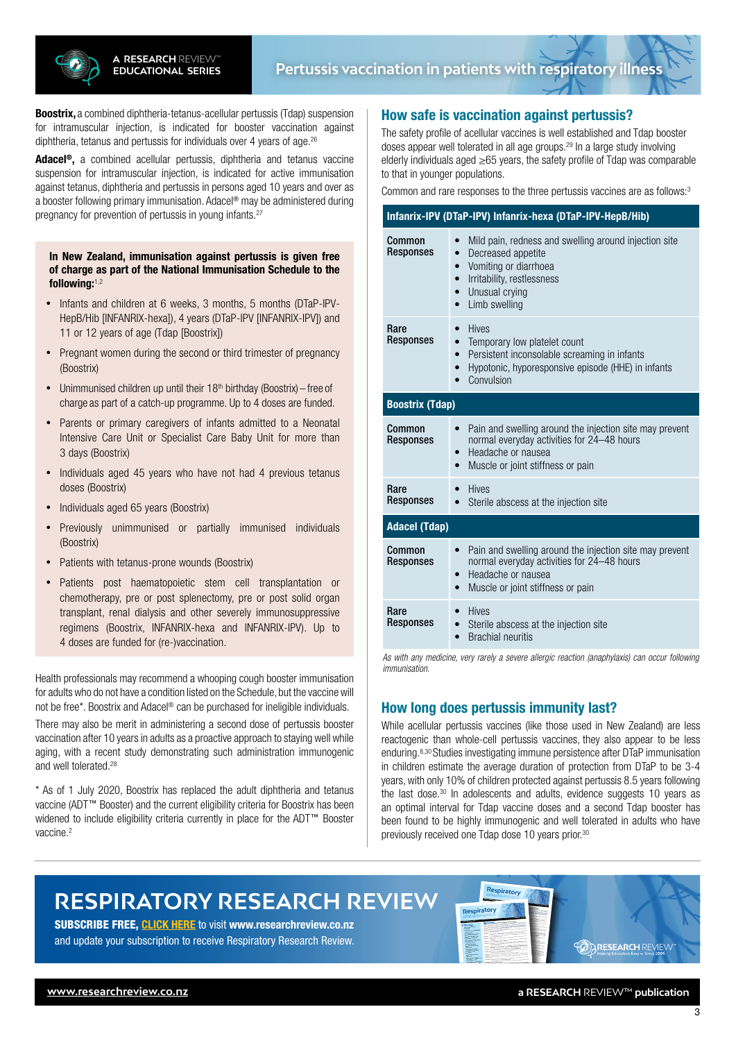

**Boostrix,** a combined diphtheria-tetanus-acellular pertussis (Tdap) suspension for intramuscular injection, is indicated for booster vaccination against diphtheria, tetanus and pertussis for individuals over 4 years of age.26

Adacel**®**, a combined acellular pertussis, diphtheria and tetanus vaccine suspension for intramuscular injection, is indicated for active immunisation against tetanus, diphtheria and pertussis in persons aged 10 years and over as a booster following primary immunisation. Adacel® may be administered during pregnancy for prevention of pertussis in young infants.<sup>27</sup>

#### In New Zealand, immunisation against pertussis is given free of charge as part of the National Immunisation Schedule to the following:1,2

- Infants and children at 6 weeks, 3 months, 5 months (DTaP-IPV-HepB/Hib [INFANRIX-hexa]), 4 years (DTaP-IPV [INFANRIX-IPV]) and 11 or 12 years of age (Tdap [Boostrix])
- Pregnant women during the second or third trimester of pregnancy (Boostrix)
- Unimmunised children up until their  $18<sup>th</sup>$  birthday (Boostrix) free of charge as part of a catch-up programme. Up to 4 doses are funded.
- Parents or primary caregivers of infants admitted to a Neonatal Intensive Care Unit or Specialist Care Baby Unit for more than 3 days (Boostrix)
- Individuals aged 45 years who have not had 4 previous tetanus doses (Boostrix)
- • Individuals aged 65 years (Boostrix)
- Previously unimmunised or partially immunised individuals (Boostrix)
- Patients with tetanus-prone wounds (Boostrix)
- • Patients post haematopoietic stem cell transplantation or chemotherapy, pre or post splenectomy, pre or post solid organ transplant, renal dialysis and other severely immunosuppressive regimens (Boostrix, INFANRIX-hexa and INFANRIX-IPV). Up to 4 doses are funded for (re-)vaccination.

Health professionals may recommend a whooping cough booster immunisation for adults who do not have a condition listed on the Schedule, but the vaccine will not be free\*. Boostrix and Adacel® can be purchased for ineligible individuals.

There may also be merit in administering a second dose of pertussis booster vaccination after 10 years in adults as a proactive approach to staying well while aging, with a recent study demonstrating such administration immunogenic and well tolerated.28

\* As of 1 July 2020, Boostrix has replaced the adult diphtheria and tetanus vaccine (ADT™ Booster) and the current eligibility criteria for Boostrix has been widened to include eligibility criteria currently in place for the ADT™ Booster vaccine.<sup>2</sup>

## How safe is vaccination against pertussis?

The safety profile of acellular vaccines is well established and Tdap booster doses appear well tolerated in all age groups.29 In a large study involving elderly individuals aged ≥65 years, the safety profile of Tdap was comparable to that in younger populations.

Common and rare responses to the three pertussis vaccines are as follows:3

| Infanrix-IPV (DTaP-IPV) Infanrix-hexa (DTaP-IPV-HepB/Hib) |                                                                                                                                                                                                                                                     |
|-----------------------------------------------------------|-----------------------------------------------------------------------------------------------------------------------------------------------------------------------------------------------------------------------------------------------------|
| Common<br><b>Responses</b>                                | Mild pain, redness and swelling around injection site<br>$\bullet$<br>Decreased appetite<br>$\bullet$<br>Vomiting or diarrhoea<br>$\bullet$<br>Irritability, restlessness<br>$\bullet$<br>Unusual crying<br>$\bullet$<br>Limb swelling<br>$\bullet$ |
| Rare<br>Responses                                         | <b>Hives</b><br>$\bullet$<br>Temporary low platelet count<br>$\bullet$<br>Persistent inconsolable screaming in infants<br>$\bullet$<br>Hypotonic, hyporesponsive episode (HHE) in infants<br>$\bullet$<br>Convulsion                                |
| <b>Boostrix (Tdap)</b>                                    |                                                                                                                                                                                                                                                     |
| Common<br><b>Responses</b>                                | Pain and swelling around the injection site may prevent<br>normal everyday activities for 24-48 hours<br>Headache or nausea<br>$\bullet$<br>Muscle or joint stiffness or pain<br>$\bullet$                                                          |
| Rare<br><b>Responses</b>                                  | <b>Hives</b><br>$\bullet$<br>Sterile abscess at the injection site<br>$\bullet$                                                                                                                                                                     |
| <b>Adacel (Tdap)</b>                                      |                                                                                                                                                                                                                                                     |
| Common<br><b>Responses</b>                                | Pain and swelling around the injection site may prevent<br>$\bullet$<br>normal everyday activities for 24-48 hours<br>Headache or nausea<br>$\bullet$<br>Muscle or joint stiffness or pain<br>$\bullet$                                             |
| Rare<br><b>Responses</b>                                  | <b>Hives</b><br>Sterile abscess at the injection site<br>$\bullet$<br><b>Brachial neuritis</b>                                                                                                                                                      |

*As with any medicine, very rarely a severe allergic reaction (anaphylaxis) can occur following immunisation.*

## How long does pertussis immunity last?

3/03/2020 1:41:29 PM For more information, please go to www.medsafe.govt.nz

While acellular pertussis vaccines (like those used in New Zealand) are less reactogenic than whole-cell pertussis vaccines, they also appear to be less enduring.8,30 Studies investigating immune persistence after DTaP immunisation in children estimate the average duration of protection from DTaP to be 3-4 years, with only 10% of children protected against pertussis 8.5 years following the last dose.<sup>30</sup> In adolescents and adults, evidence suggests 10 years as an optimal interval for Tdap vaccine doses and a second Tdap booster has been found to be highly immunogenic and well tolerated in adults who have previously received one Tdap dose 10 years prior.30

# **RESPIRATORY RESEARCH REVIEW**

SUBSCRIBE FREE, [CLICK HERE](http://www.researchreview.co.nz) to visit www.researchreview.co.nz and update your subscription to receive Respiratory Research Review.